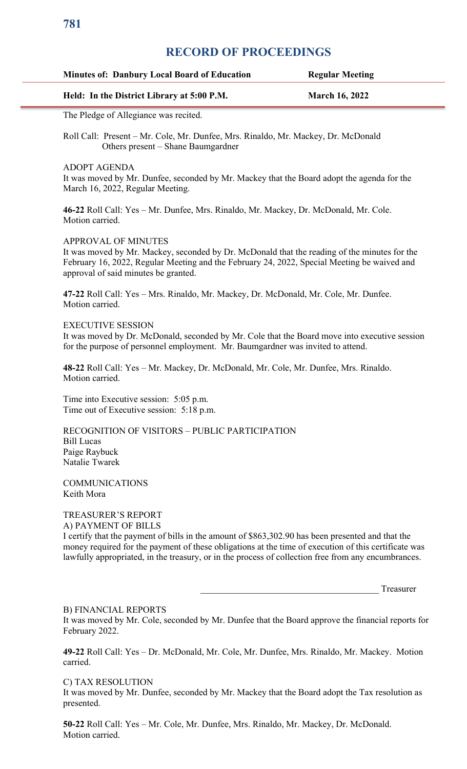# **RECORD OF PROCEEDINGS**

| <b>Minutes of: Danbury Local Board of Education</b> | <b>Regular Meeting</b> |
|-----------------------------------------------------|------------------------|
| Held: In the District Library at 5:00 P.M.          | <b>March 16, 2022</b>  |

The Pledge of Allegiance was recited.

Roll Call: Present – Mr. Cole, Mr. Dunfee, Mrs. Rinaldo, Mr. Mackey, Dr. McDonald Others present – Shane Baumgardner

ADOPT AGENDA

It was moved by Mr. Dunfee, seconded by Mr. Mackey that the Board adopt the agenda for the March 16, 2022, Regular Meeting.

**46-22** Roll Call: Yes – Mr. Dunfee, Mrs. Rinaldo, Mr. Mackey, Dr. McDonald, Mr. Cole. Motion carried.

### APPROVAL OF MINUTES

It was moved by Mr. Mackey, seconded by Dr. McDonald that the reading of the minutes for the February 16, 2022, Regular Meeting and the February 24, 2022, Special Meeting be waived and approval of said minutes be granted.

**47-22** Roll Call: Yes – Mrs. Rinaldo, Mr. Mackey, Dr. McDonald, Mr. Cole, Mr. Dunfee. Motion carried.

#### EXECUTIVE SESSION

It was moved by Dr. McDonald, seconded by Mr. Cole that the Board move into executive session for the purpose of personnel employment. Mr. Baumgardner was invited to attend.

**48-22** Roll Call: Yes – Mr. Mackey, Dr. McDonald, Mr. Cole, Mr. Dunfee, Mrs. Rinaldo. Motion carried.

Time into Executive session: 5:05 p.m. Time out of Executive session: 5:18 p.m.

RECOGNITION OF VISITORS – PUBLIC PARTICIPATION Bill Lucas Paige Raybuck Natalie Twarek

**COMMUNICATIONS** Keith Mora

#### TREASURER'S REPORT A) PAYMENT OF BILLS

I certify that the payment of bills in the amount of \$863,302.90 has been presented and that the money required for the payment of these obligations at the time of execution of this certificate was lawfully appropriated, in the treasury, or in the process of collection free from any encumbrances.

Treasurer

# B) FINANCIAL REPORTS

It was moved by Mr. Cole, seconded by Mr. Dunfee that the Board approve the financial reports for February 2022.

**49-22** Roll Call: Yes – Dr. McDonald, Mr. Cole, Mr. Dunfee, Mrs. Rinaldo, Mr. Mackey. Motion carried.

## C) TAX RESOLUTION

It was moved by Mr. Dunfee, seconded by Mr. Mackey that the Board adopt the Tax resolution as presented.

**50-22** Roll Call: Yes – Mr. Cole, Mr. Dunfee, Mrs. Rinaldo, Mr. Mackey, Dr. McDonald. Motion carried.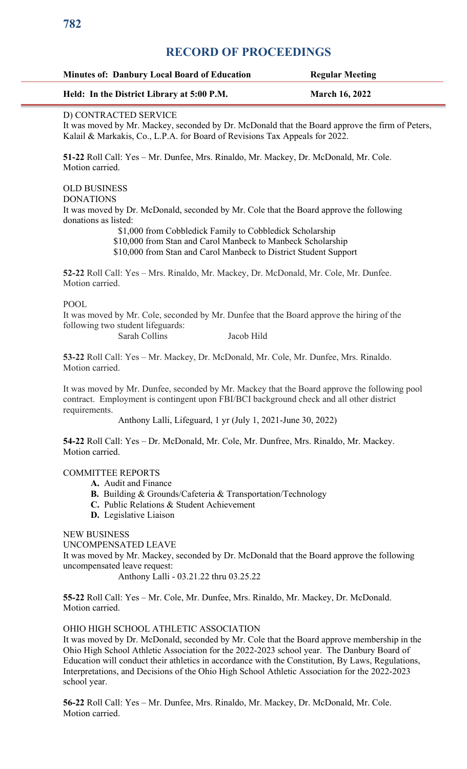# **RECORD OF PROCEEDINGS**

| <b>Minutes of: Danbury Local Board of Education</b> | <b>Regular Meeting</b> |
|-----------------------------------------------------|------------------------|
| Held: In the District Library at 5:00 P.M.          | <b>March 16, 2022</b>  |

## D) CONTRACTED SERVICE

It was moved by Mr. Mackey, seconded by Dr. McDonald that the Board approve the firm of Peters, Kalail & Markakis, Co., L.P.A. for Board of Revisions Tax Appeals for 2022.

**51-22** Roll Call: Yes – Mr. Dunfee, Mrs. Rinaldo, Mr. Mackey, Dr. McDonald, Mr. Cole. Motion carried.

#### OLD BUSINESS DONATIONS

It was moved by Dr. McDonald, seconded by Mr. Cole that the Board approve the following donations as listed:

\$1,000 from Cobbledick Family to Cobbledick Scholarship

 \$10,000 from Stan and Carol Manbeck to Manbeck Scholarship \$10,000 from Stan and Carol Manbeck to District Student Support

**52-22** Roll Call: Yes – Mrs. Rinaldo, Mr. Mackey, Dr. McDonald, Mr. Cole, Mr. Dunfee. Motion carried.

# POOL

It was moved by Mr. Cole, seconded by Mr. Dunfee that the Board approve the hiring of the following two student lifeguards:

Sarah Collins Jacob Hild

**53-22** Roll Call: Yes – Mr. Mackey, Dr. McDonald, Mr. Cole, Mr. Dunfee, Mrs. Rinaldo. Motion carried.

It was moved by Mr. Dunfee, seconded by Mr. Mackey that the Board approve the following pool contract. Employment is contingent upon FBI/BCI background check and all other district requirements.

Anthony Lalli, Lifeguard, 1 yr (July 1, 2021-June 30, 2022)

**54-22** Roll Call: Yes – Dr. McDonald, Mr. Cole, Mr. Dunfree, Mrs. Rinaldo, Mr. Mackey. Motion carried.

# COMMITTEE REPORTS

- **A.** Audit and Finance
- **B.** Building & Grounds/Cafeteria & Transportation/Technology
- **C.** Public Relations & Student Achievement
- **D.** Legislative Liaison

#### NEW BUSINESS

UNCOMPENSATED LEAVE

It was moved by Mr. Mackey, seconded by Dr. McDonald that the Board approve the following uncompensated leave request:

Anthony Lalli - 03.21.22 thru 03.25.22

**55-22** Roll Call: Yes – Mr. Cole, Mr. Dunfee, Mrs. Rinaldo, Mr. Mackey, Dr. McDonald. Motion carried.

#### OHIO HIGH SCHOOL ATHLETIC ASSOCIATION

It was moved by Dr. McDonald, seconded by Mr. Cole that the Board approve membership in the Ohio High School Athletic Association for the 2022-2023 school year. The Danbury Board of Education will conduct their athletics in accordance with the Constitution, By Laws, Regulations, Interpretations, and Decisions of the Ohio High School Athletic Association for the 2022-2023 school year.

**56-22** Roll Call: Yes – Mr. Dunfee, Mrs. Rinaldo, Mr. Mackey, Dr. McDonald, Mr. Cole. Motion carried.